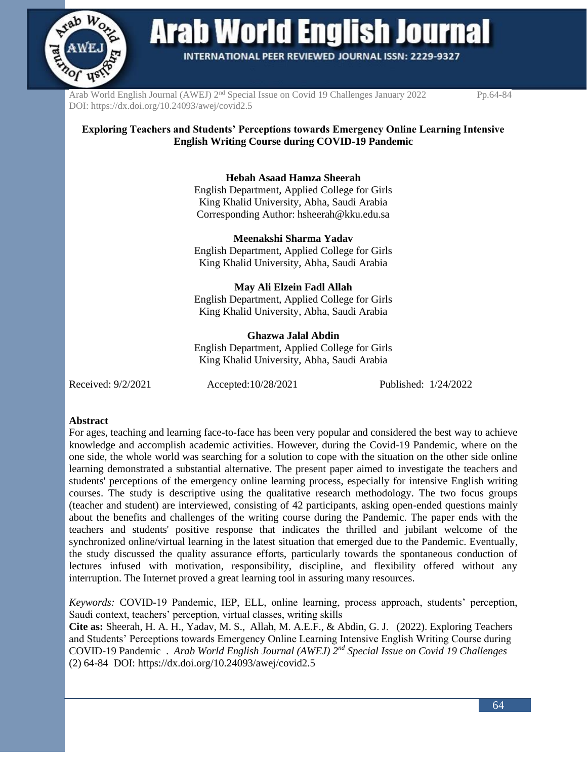

Arab World English Journal

INTERNATIONAL PEER REVIEWED JOURNAL ISSN: 2229-9327

Arab World English Journal (AWEJ) 2<sup>nd</sup> Special Issue on Covid 19 Challenges January 2022 Pp.64-84 DOI: https://dx.doi.org/10.24093/awej/covid2.5

### **Exploring Teachers and Students' Perceptions towards Emergency Online Learning Intensive English Writing Course during COVID-19 Pandemic**

**Hebah Asaad Hamza Sheerah** 

English Department, Applied College for Girls King Khalid University, Abha, Saudi Arabia Corresponding Author: [hsheerah@kku.edu.sa](mailto:hsheerah@kku.edu.sa)

**Meenakshi Sharma Yadav** English Department, Applied College for Girls King Khalid University, Abha, Saudi Arabia

**May Ali Elzein Fadl Allah**  English Department, Applied College for Girls King Khalid University, Abha, Saudi Arabia

### **Ghazwa Jalal Abdin**

English Department, Applied College for Girls King Khalid University, Abha, Saudi Arabia

Received: 9/2/2021 Accepted:10/28/2021 Published: 1/24/2022

#### **Abstract**

For ages, teaching and learning face-to-face has been very popular and considered the best way to achieve knowledge and accomplish academic activities. However, during the Covid-19 Pandemic, where on the one side, the whole world was searching for a solution to cope with the situation on the other side online learning demonstrated a substantial alternative. The present paper aimed to investigate the teachers and students' perceptions of the emergency online learning process, especially for intensive English writing courses. The study is descriptive using the qualitative research methodology. The two focus groups (teacher and student) are interviewed, consisting of 42 participants, asking open-ended questions mainly about the benefits and challenges of the writing course during the Pandemic. The paper ends with the teachers and students' positive response that indicates the thrilled and jubilant welcome of the synchronized online/virtual learning in the latest situation that emerged due to the Pandemic. Eventually, the study discussed the quality assurance efforts, particularly towards the spontaneous conduction of lectures infused with motivation, responsibility, discipline, and flexibility offered without any interruption. The Internet proved a great learning tool in assuring many resources.

*Keywords:* COVID-19 Pandemic, IEP, ELL, online learning, process approach, students' perception, Saudi context, teachers' perception, virtual classes, writing skills

**Cite as:** Sheerah, H. A. H., Yadav, M. S., Allah, M. A.E.F., & Abdin, G. J. (2022). Exploring Teachers and Students' Perceptions towards Emergency Online Learning Intensive English Writing Course during COVID-19 Pandemic . *Arab World English Journal (AWEJ) 2nd Special Issue on Covid 19 Challenges*  (2) 64-84 DOI: https://dx.doi.org/10.24093/awej/covid2.5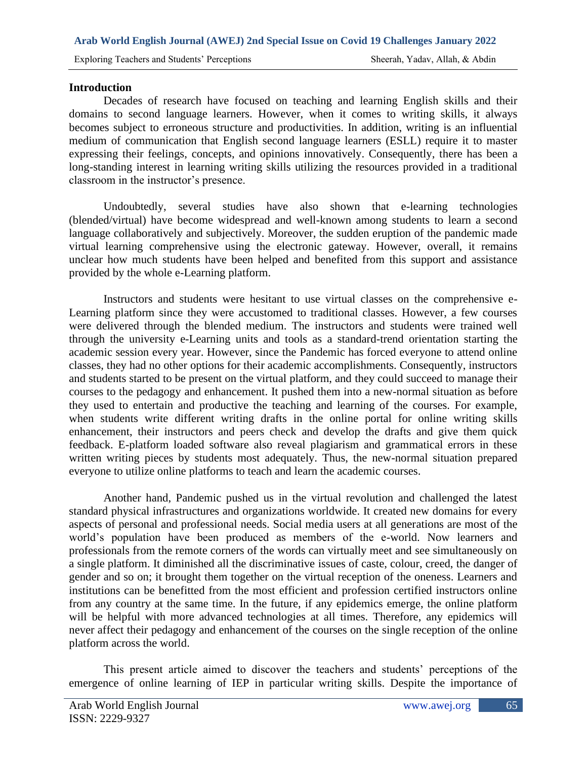## **Introduction**

Decades of research have focused on teaching and learning English skills and their domains to second language learners. However, when it comes to writing skills, it always becomes subject to erroneous structure and productivities. In addition, writing is an influential medium of communication that English second language learners (ESLL) require it to master expressing their feelings, concepts, and opinions innovatively. Consequently, there has been a long-standing interest in learning writing skills utilizing the resources provided in a traditional classroom in the instructor's presence.

Undoubtedly, several studies have also shown that e-learning technologies (blended/virtual) have become widespread and well-known among students to learn a second language collaboratively and subjectively. Moreover, the sudden eruption of the pandemic made virtual learning comprehensive using the electronic gateway. However, overall, it remains unclear how much students have been helped and benefited from this support and assistance provided by the whole e-Learning platform.

Instructors and students were hesitant to use virtual classes on the comprehensive e-Learning platform since they were accustomed to traditional classes. However, a few courses were delivered through the blended medium. The instructors and students were trained well through the university e-Learning units and tools as a standard-trend orientation starting the academic session every year. However, since the Pandemic has forced everyone to attend online classes, they had no other options for their academic accomplishments. Consequently, instructors and students started to be present on the virtual platform, and they could succeed to manage their courses to the pedagogy and enhancement. It pushed them into a new-normal situation as before they used to entertain and productive the teaching and learning of the courses. For example, when students write different writing drafts in the online portal for online writing skills enhancement, their instructors and peers check and develop the drafts and give them quick feedback. E-platform loaded software also reveal plagiarism and grammatical errors in these written writing pieces by students most adequately. Thus, the new-normal situation prepared everyone to utilize online platforms to teach and learn the academic courses.

Another hand, Pandemic pushed us in the virtual revolution and challenged the latest standard physical infrastructures and organizations worldwide. It created new domains for every aspects of personal and professional needs. Social media users at all generations are most of the world's population have been produced as members of the e-world. Now learners and professionals from the remote corners of the words can virtually meet and see simultaneously on a single platform. It diminished all the discriminative issues of caste, colour, creed, the danger of gender and so on; it brought them together on the virtual reception of the oneness. Learners and institutions can be benefitted from the most efficient and profession certified instructors online from any country at the same time. In the future, if any epidemics emerge, the online platform will be helpful with more advanced technologies at all times. Therefore, any epidemics will never affect their pedagogy and enhancement of the courses on the single reception of the online platform across the world.

This present article aimed to discover the teachers and students' perceptions of the emergence of online learning of IEP in particular writing skills. Despite the importance of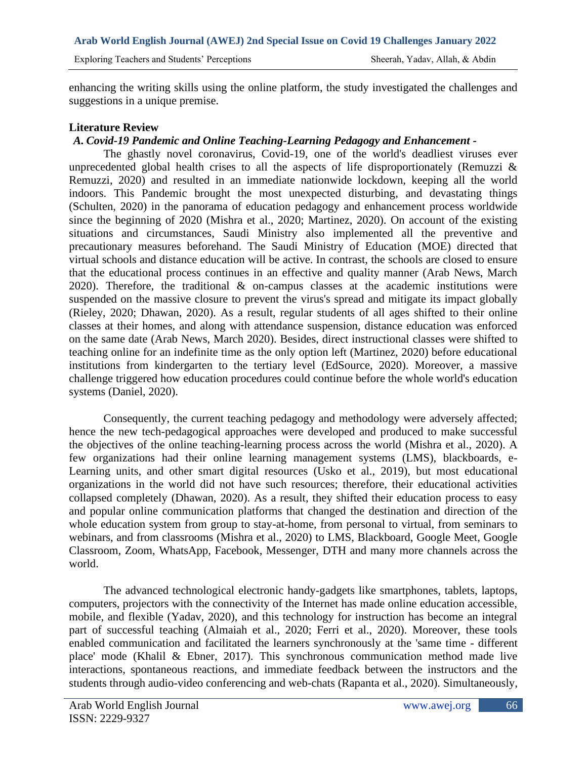Exploring Teachers and Students' Perceptions Sheerah, Yadav, Allah, & Abdin

enhancing the writing skills using the online platform, the study investigated the challenges and suggestions in a unique premise.

## **Literature Review**

# *A. Covid-19 Pandemic and Online Teaching-Learning Pedagogy and Enhancement -*

The ghastly novel coronavirus, Covid-19, one of the world's deadliest viruses ever unprecedented global health crises to all the aspects of life disproportionately (Remuzzi  $\&$ Remuzzi, 2020) and resulted in an immediate nationwide lockdown, keeping all the world indoors. This Pandemic brought the most unexpected disturbing, and devastating things (Schulten, 2020) in the panorama of education pedagogy and enhancement process worldwide since the beginning of 2020 (Mishra et al., 2020; Martinez, 2020). On account of the existing situations and circumstances, Saudi Ministry also implemented all the preventive and precautionary measures beforehand. The Saudi Ministry of Education (MOE) directed that virtual schools and distance education will be active. In contrast, the schools are closed to ensure that the educational process continues in an effective and quality manner (Arab News, March 2020). Therefore, the traditional & on-campus classes at the academic institutions were suspended on the massive closure to prevent the virus's spread and mitigate its impact globally (Rieley, 2020; Dhawan, 2020). As a result, regular students of all ages shifted to their online classes at their homes, and along with attendance suspension, distance education was enforced on the same date (Arab News, March 2020). Besides, direct instructional classes were shifted to teaching online for an indefinite time as the only option left (Martinez, 2020) before educational institutions from kindergarten to the tertiary level (EdSource, 2020). Moreover, a massive challenge triggered how education procedures could continue before the whole world's education systems (Daniel, 2020).

Consequently, the current teaching pedagogy and methodology were adversely affected; hence the new tech-pedagogical approaches were developed and produced to make successful the objectives of the online teaching-learning process across the world (Mishra et al., 2020). A few organizations had their online learning management systems (LMS), blackboards, e-Learning units, and other smart digital resources (Usko et al., 2019), but most educational organizations in the world did not have such resources; therefore, their educational activities collapsed completely (Dhawan, 2020). As a result, they shifted their education process to easy and popular online communication platforms that changed the destination and direction of the whole education system from group to stay-at-home, from personal to virtual, from seminars to webinars, and from classrooms (Mishra et al., 2020) to LMS, Blackboard, Google Meet, Google Classroom, Zoom, WhatsApp, Facebook, Messenger, DTH and many more channels across the world.

The advanced technological electronic handy-gadgets like smartphones, tablets, laptops, computers, projectors with the connectivity of the Internet has made online education accessible, mobile, and flexible (Yadav, 2020), and this technology for instruction has become an integral part of successful teaching (Almaiah et al., 2020; Ferri et al., 2020). Moreover, these tools enabled communication and facilitated the learners synchronously at the 'same time - different place' mode (Khalil & Ebner, 2017). This synchronous communication method made live interactions, spontaneous reactions, and immediate feedback between the instructors and the students through audio-video conferencing and web-chats (Rapanta et al., 2020). Simultaneously,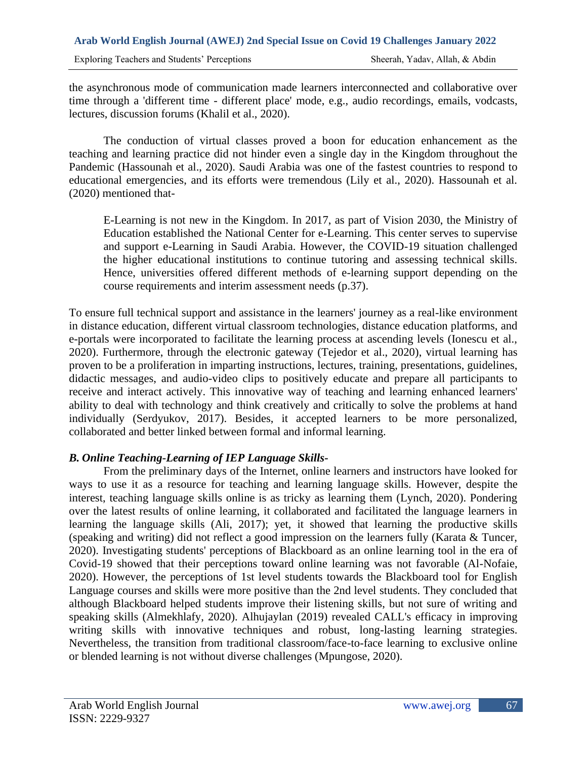the asynchronous mode of communication made learners interconnected and collaborative over time through a 'different time - different place' mode, e.g., audio recordings, emails, vodcasts, lectures, discussion forums (Khalil et al., 2020).

The conduction of virtual classes proved a boon for education enhancement as the teaching and learning practice did not hinder even a single day in the Kingdom throughout the Pandemic (Hassounah et al., 2020). Saudi Arabia was one of the fastest countries to respond to educational emergencies, and its efforts were tremendous (Lily et al., 2020). Hassounah et al. (2020) mentioned that-

E-Learning is not new in the Kingdom. In 2017, as part of Vision 2030, the Ministry of Education established the National Center for e-Learning. This center serves to supervise and support e-Learning in Saudi Arabia. However, the COVID-19 situation challenged the higher educational institutions to continue tutoring and assessing technical skills. Hence, universities offered different methods of e-learning support depending on the course requirements and interim assessment needs (p.37).

To ensure full technical support and assistance in the learners' journey as a real-like environment in distance education, different virtual classroom technologies, distance education platforms, and e-portals were incorporated to facilitate the learning process at ascending levels (Ionescu et al., 2020). Furthermore, through the electronic gateway (Tejedor et al., 2020), virtual learning has proven to be a proliferation in imparting instructions, lectures, training, presentations, guidelines, didactic messages, and audio-video clips to positively educate and prepare all participants to receive and interact actively. This innovative way of teaching and learning enhanced learners' ability to deal with technology and think creatively and critically to solve the problems at hand individually (Serdyukov, 2017). Besides, it accepted learners to be more personalized, collaborated and better linked between formal and informal learning.

# *B. Online Teaching-Learning of IEP Language Skills-*

From the preliminary days of the Internet, online learners and instructors have looked for ways to use it as a resource for teaching and learning language skills. However, despite the interest, teaching language skills online is as tricky as learning them (Lynch, 2020). Pondering over the latest results of online learning, it collaborated and facilitated the language learners in learning the language skills (Ali, 2017); yet, it showed that learning the productive skills (speaking and writing) did not reflect a good impression on the learners fully (Karata & Tuncer, 2020). Investigating students' perceptions of Blackboard as an online learning tool in the era of Covid-19 showed that their perceptions toward online learning was not favorable (Al-Nofaie, 2020). However, the perceptions of 1st level students towards the Blackboard tool for English Language courses and skills were more positive than the 2nd level students. They concluded that although Blackboard helped students improve their listening skills, but not sure of writing and speaking skills (Almekhlafy, 2020). Alhujaylan (2019) revealed CALL's efficacy in improving writing skills with innovative techniques and robust, long-lasting learning strategies. Nevertheless, the transition from traditional classroom/face-to-face learning to exclusive online or blended learning is not without diverse challenges (Mpungose, 2020).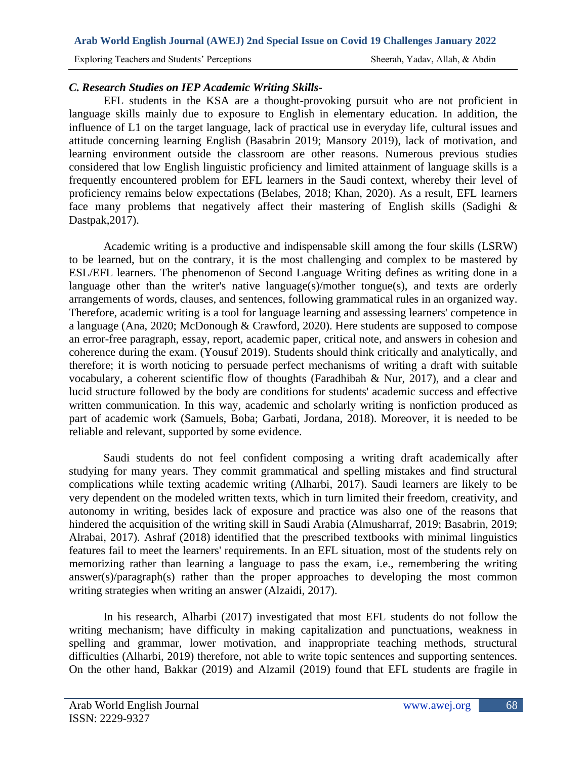Exploring Teachers and Students' Perceptions Sheerah, Yadav, Allah, & Abdin

## *C. Research Studies on IEP Academic Writing Skills-*

EFL students in the KSA are a thought-provoking pursuit who are not proficient in language skills mainly due to exposure to English in elementary education. In addition, the influence of L1 on the target language, lack of practical use in everyday life, cultural issues and attitude concerning learning English (Basabrin 2019; Mansory 2019), lack of motivation, and learning environment outside the classroom are other reasons. Numerous previous studies considered that low English linguistic proficiency and limited attainment of language skills is a frequently encountered problem for EFL learners in the Saudi context, whereby their level of proficiency remains below expectations (Belabes, 2018; Khan, 2020). As a result, EFL learners face many problems that negatively affect their mastering of English skills (Sadighi & Dastpak,2017).

Academic writing is a productive and indispensable skill among the four skills (LSRW) to be learned, but on the contrary, it is the most challenging and complex to be mastered by ESL/EFL learners. The phenomenon of Second Language Writing defines as writing done in a language other than the writer's native language(s)/mother tongue(s), and texts are orderly arrangements of words, clauses, and sentences, following grammatical rules in an organized way. Therefore, academic writing is a tool for language learning and assessing learners' competence in a language (Ana, 2020; McDonough & Crawford, 2020). Here students are supposed to compose an error-free paragraph, essay, report, academic paper, critical note, and answers in cohesion and coherence during the exam. (Yousuf 2019). Students should think critically and analytically, and therefore; it is worth noticing to persuade perfect mechanisms of writing a draft with suitable vocabulary, a coherent scientific flow of thoughts (Faradhibah & Nur, 2017), and a clear and lucid structure followed by the body are conditions for students' academic success and effective written communication. In this way, academic and scholarly writing is nonfiction produced as part of academic work (Samuels, Boba; Garbati, Jordana, 2018). Moreover, it is needed to be reliable and relevant, supported by some evidence.

Saudi students do not feel confident composing a writing draft academically after studying for many years. They commit grammatical and spelling mistakes and find structural complications while texting academic writing (Alharbi, 2017). Saudi learners are likely to be very dependent on the modeled written texts, which in turn limited their freedom, creativity, and autonomy in writing, besides lack of exposure and practice was also one of the reasons that hindered the acquisition of the writing skill in Saudi Arabia (Almusharraf, 2019; Basabrin, 2019; Alrabai, 2017). Ashraf (2018) identified that the prescribed textbooks with minimal linguistics features fail to meet the learners' requirements. In an EFL situation, most of the students rely on memorizing rather than learning a language to pass the exam, i.e., remembering the writing answer(s)/paragraph(s) rather than the proper approaches to developing the most common writing strategies when writing an answer (Alzaidi, 2017).

In his research, Alharbi (2017) investigated that most EFL students do not follow the writing mechanism; have difficulty in making capitalization and punctuations, weakness in spelling and grammar, lower motivation, and inappropriate teaching methods, structural difficulties (Alharbi, 2019) therefore, not able to write topic sentences and supporting sentences. On the other hand, Bakkar (2019) and Alzamil (2019) found that EFL students are fragile in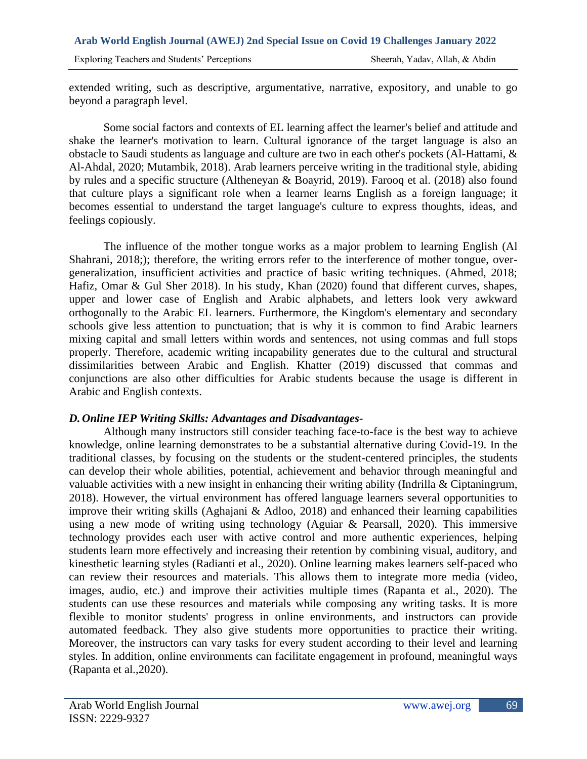Exploring Teachers and Students' Perceptions Sheerah, Yadav, Allah, & Abdin

extended writing, such as descriptive, argumentative, narrative, expository, and unable to go beyond a paragraph level.

Some social factors and contexts of EL learning affect the learner's belief and attitude and shake the learner's motivation to learn. Cultural ignorance of the target language is also an obstacle to Saudi students as language and culture are two in each other's pockets (Al-Hattami, & Al-Ahdal, 2020; Mutambik, 2018). Arab learners perceive writing in the traditional style, abiding by rules and a specific structure (Altheneyan & Boayrid, 2019). Farooq et al. (2018) also found that culture plays a significant role when a learner learns English as a foreign language; it becomes essential to understand the target language's culture to express thoughts, ideas, and feelings copiously.

The influence of the mother tongue works as a major problem to learning English (Al Shahrani, 2018;); therefore, the writing errors refer to the interference of mother tongue, overgeneralization, insufficient activities and practice of basic writing techniques. (Ahmed, 2018; Hafiz, Omar & Gul Sher 2018). In his study, Khan (2020) found that different curves, shapes, upper and lower case of English and Arabic alphabets, and letters look very awkward orthogonally to the Arabic EL learners. Furthermore, the Kingdom's elementary and secondary schools give less attention to punctuation; that is why it is common to find Arabic learners mixing capital and small letters within words and sentences, not using commas and full stops properly. Therefore, academic writing incapability generates due to the cultural and structural dissimilarities between Arabic and English. Khatter (2019) discussed that commas and conjunctions are also other difficulties for Arabic students because the usage is different in Arabic and English contexts.

### *D. Online IEP Writing Skills: Advantages and Disadvantages-*

Although many instructors still consider teaching face-to-face is the best way to achieve knowledge, online learning demonstrates to be a substantial alternative during Covid-19. In the traditional classes, by focusing on the students or the student-centered principles, the students can develop their whole abilities, potential, achievement and behavior through meaningful and valuable activities with a new insight in enhancing their writing ability (Indrilla & Ciptaningrum, 2018). However, the virtual environment has offered language learners several opportunities to improve their writing skills (Aghajani & Adloo, 2018) and enhanced their learning capabilities using a new mode of writing using technology (Aguiar & Pearsall, 2020). This immersive technology provides each user with active control and more authentic experiences, helping students learn more effectively and increasing their retention by combining visual, auditory, and kinesthetic learning styles (Radianti et al., 2020). Online learning makes learners self-paced who can review their resources and materials. This allows them to integrate more media (video, images, audio, etc.) and improve their activities multiple times (Rapanta et al., 2020). The students can use these resources and materials while composing any writing tasks. It is more flexible to monitor students' progress in online environments, and instructors can provide automated feedback. They also give students more opportunities to practice their writing. Moreover, the instructors can vary tasks for every student according to their level and learning styles. In addition, online environments can facilitate engagement in profound, meaningful ways (Rapanta et al.,2020).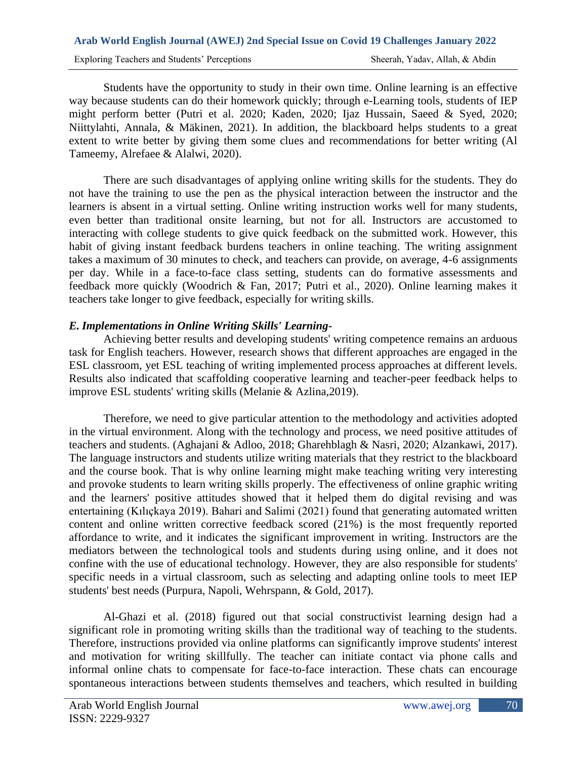Students have the opportunity to study in their own time. Online learning is an effective way because students can do their homework quickly; through e-Learning tools, students of IEP might perform better (Putri et al. 2020; Kaden, 2020; Ijaz Hussain, Saeed & Syed, 2020; Niittylahti, Annala, & Mäkinen, 2021). In addition, the blackboard helps students to a great extent to write better by giving them some clues and recommendations for better writing (Al Tameemy, Alrefaee & Alalwi, 2020).

There are such disadvantages of applying online writing skills for the students. They do not have the training to use the pen as the physical interaction between the instructor and the learners is absent in a virtual setting. Online writing instruction works well for many students, even better than traditional onsite learning, but not for all. Instructors are accustomed to interacting with college students to give quick feedback on the submitted work. However, this habit of giving instant feedback burdens teachers in online teaching. The writing assignment takes a maximum of 30 minutes to check, and teachers can provide, on average, 4-6 assignments per day. While in a face-to-face class setting, students can do formative assessments and feedback more quickly (Woodrich & Fan, 2017; Putri et al., 2020). Online learning makes it teachers take longer to give feedback, especially for writing skills.

# *E. Implementations in Online Writing Skills' Learning-*

Achieving better results and developing students' writing competence remains an arduous task for English teachers. However, research shows that different approaches are engaged in the ESL classroom, yet ESL teaching of writing implemented process approaches at different levels. Results also indicated that scaffolding cooperative learning and teacher-peer feedback helps to improve ESL students' writing skills (Melanie & Azlina,2019).

Therefore, we need to give particular attention to the methodology and activities adopted in the virtual environment. Along with the technology and process, we need positive attitudes of teachers and students. (Aghajani & Adloo, 2018; Gharehblagh & Nasri, 2020; Alzankawi, 2017). The language instructors and students utilize writing materials that they restrict to the blackboard and the course book. That is why online learning might make teaching writing very interesting and provoke students to learn writing skills properly. The effectiveness of online graphic writing and the learners' positive attitudes showed that it helped them do digital revising and was entertaining (Kılıçkaya 2019). Bahari and Salimi (2021) found that generating automated written content and online written corrective feedback scored (21%) is the most frequently reported affordance to write, and it indicates the significant improvement in writing. Instructors are the mediators between the technological tools and students during using online, and it does not confine with the use of educational technology. However, they are also responsible for students' specific needs in a virtual classroom, such as selecting and adapting online tools to meet IEP students' best needs (Purpura, Napoli, Wehrspann, & Gold, 2017).

Al-Ghazi et al. (2018) figured out that social constructivist learning design had a significant role in promoting writing skills than the traditional way of teaching to the students. Therefore, instructions provided via online platforms can significantly improve students' interest and motivation for writing skillfully. The teacher can initiate contact via phone calls and informal online chats to compensate for face-to-face interaction. These chats can encourage spontaneous interactions between students themselves and teachers, which resulted in building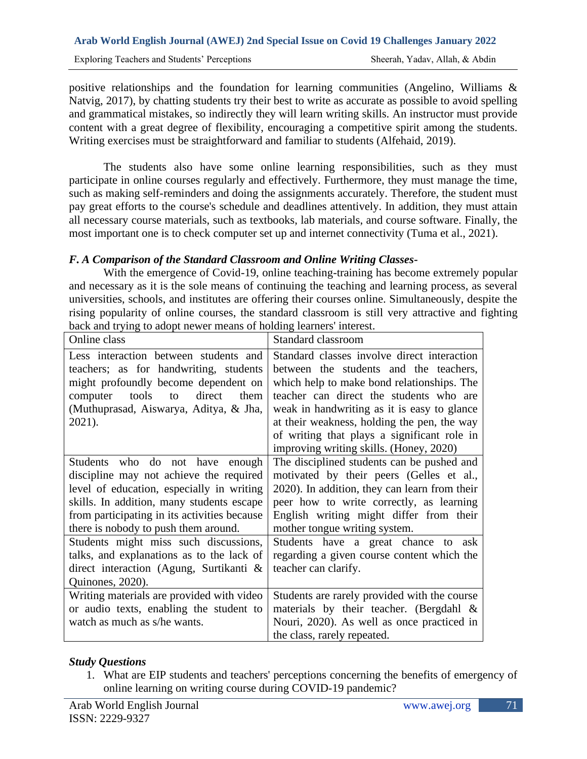positive relationships and the foundation for learning communities (Angelino, Williams  $\&$ Natvig, 2017), by chatting students try their best to write as accurate as possible to avoid spelling and grammatical mistakes, so indirectly they will learn writing skills. An instructor must provide content with a great degree of flexibility, encouraging a competitive spirit among the students. Writing exercises must be straightforward and familiar to students (Alfehaid, 2019).

The students also have some online learning responsibilities, such as they must participate in online courses regularly and effectively. Furthermore, they must manage the time, such as making self-reminders and doing the assignments accurately. Therefore, the student must pay great efforts to the course's schedule and deadlines attentively. In addition, they must attain all necessary course materials, such as textbooks, lab materials, and course software. Finally, the most important one is to check computer set up and internet connectivity (Tuma et al., 2021).

# *F. A Comparison of the Standard Classroom and Online Writing Classes-*

With the emergence of Covid-19, online teaching-training has become extremely popular and necessary as it is the sole means of continuing the teaching and learning process, as several universities, schools, and institutes are offering their courses online. Simultaneously, despite the rising popularity of online courses, the standard classroom is still very attractive and fighting back and trying to adopt newer means of holding learners' interest.

| Online class                                                                                                                                                                                                                                                 | Standard classroom                                                                                                                                                                                                                                                                                                                                                     |
|--------------------------------------------------------------------------------------------------------------------------------------------------------------------------------------------------------------------------------------------------------------|------------------------------------------------------------------------------------------------------------------------------------------------------------------------------------------------------------------------------------------------------------------------------------------------------------------------------------------------------------------------|
| Less interaction between students and<br>teachers; as for handwriting, students<br>might profoundly become dependent on<br>tools<br>direct<br>computer<br>them<br>to<br>(Muthuprasad, Aiswarya, Aditya, & Jha,<br>2021).                                     | Standard classes involve direct interaction<br>between the students and the teachers,<br>which help to make bond relationships. The<br>teacher can direct the students who are<br>weak in handwriting as it is easy to glance<br>at their weakness, holding the pen, the way<br>of writing that plays a significant role in<br>improving writing skills. (Honey, 2020) |
| Students who do not have enough<br>discipline may not achieve the required<br>level of education, especially in writing<br>skills. In addition, many students escape<br>from participating in its activities because<br>there is nobody to push them around. | The disciplined students can be pushed and<br>motivated by their peers (Gelles et al.,<br>2020). In addition, they can learn from their<br>peer how to write correctly, as learning<br>English writing might differ from their<br>mother tongue writing system.                                                                                                        |
| Students might miss such discussions,<br>talks, and explanations as to the lack of<br>direct interaction (Agung, Surtikanti $\&$<br>Quinones, 2020).                                                                                                         | Students have a great chance to ask<br>regarding a given course content which the<br>teacher can clarify.                                                                                                                                                                                                                                                              |
| Writing materials are provided with video<br>or audio texts, enabling the student to<br>watch as much as s/he wants.                                                                                                                                         | Students are rarely provided with the course<br>materials by their teacher. (Bergdahl &<br>Nouri, 2020). As well as once practiced in<br>the class, rarely repeated.                                                                                                                                                                                                   |

# *Study Questions*

1. What are EIP students and teachers' perceptions concerning the benefits of emergency of online learning on writing course during COVID-19 pandemic?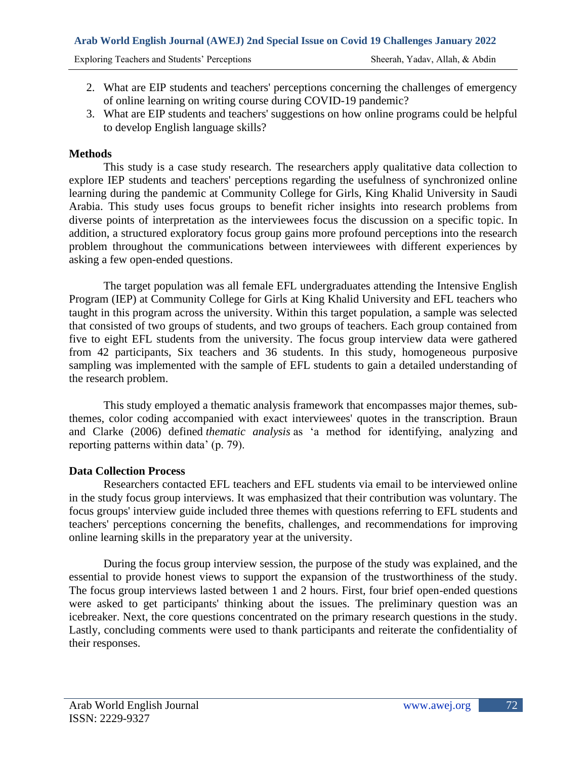Exploring Teachers and Students' Perceptions Sheerah, Yadav, Allah, & Abdin

- 2. What are EIP students and teachers' perceptions concerning the challenges of emergency of online learning on writing course during COVID-19 pandemic?
- 3. What are EIP students and teachers' suggestions on how online programs could be helpful to develop English language skills?

# **Methods**

This study is a case study research. The researchers apply qualitative data collection to explore IEP students and teachers' perceptions regarding the usefulness of synchronized online learning during the pandemic at Community College for Girls, King Khalid University in Saudi Arabia. This study uses focus groups to benefit richer insights into research problems from diverse points of interpretation as the interviewees focus the discussion on a specific topic. In addition, a structured exploratory focus group gains more profound perceptions into the research problem throughout the communications between interviewees with different experiences by asking a few open-ended questions.

The target population was all female EFL undergraduates attending the Intensive English Program (IEP) at Community College for Girls at King Khalid University and EFL teachers who taught in this program across the university. Within this target population, a sample was selected that consisted of two groups of students, and two groups of teachers. Each group contained from five to eight EFL students from the university. The focus group interview data were gathered from 42 participants, Six teachers and 36 students. In this study, homogeneous purposive sampling was implemented with the sample of EFL students to gain a detailed understanding of the research problem.

This study employed a thematic analysis framework that encompasses major themes, subthemes, color coding accompanied with exact interviewees' quotes in the transcription. Braun and Clarke (2006) defined *thematic analysis* as 'a method for identifying, analyzing and reporting patterns within data' (p. 79).

# **Data Collection Process**

Researchers contacted EFL teachers and EFL students via email to be interviewed online in the study focus group interviews. It was emphasized that their contribution was voluntary. The focus groups' interview guide included three themes with questions referring to EFL students and teachers' perceptions concerning the benefits, challenges, and recommendations for improving online learning skills in the preparatory year at the university.

During the focus group interview session, the purpose of the study was explained, and the essential to provide honest views to support the expansion of the trustworthiness of the study. The focus group interviews lasted between 1 and 2 hours. First, four brief open-ended questions were asked to get participants' thinking about the issues. The preliminary question was an icebreaker. Next, the core questions concentrated on the primary research questions in the study. Lastly, concluding comments were used to thank participants and reiterate the confidentiality of their responses.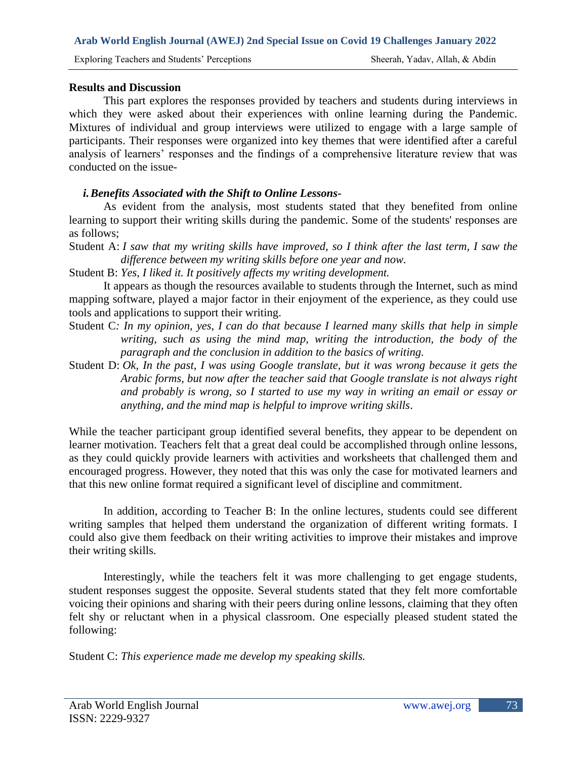## **Results and Discussion**

This part explores the responses provided by teachers and students during interviews in which they were asked about their experiences with online learning during the Pandemic. Mixtures of individual and group interviews were utilized to engage with a large sample of participants. Their responses were organized into key themes that were identified after a careful analysis of learners' responses and the findings of a comprehensive literature review that was conducted on the issue-

## *i.Benefits Associated with the Shift to Online Lessons-*

As evident from the analysis, most students stated that they benefited from online learning to support their writing skills during the pandemic. Some of the students' responses are as follows;

Student A: *I saw that my writing skills have improved, so I think after the last term, I saw the difference between my writing skills before one year and now.*

Student B: *Yes, I liked it. It positively affects my writing development.*

It appears as though the resources available to students through the Internet, such as mind mapping software, played a major factor in their enjoyment of the experience, as they could use tools and applications to support their writing.

- Student C*: In my opinion, yes, I can do that because I learned many skills that help in simple writing, such as using the mind map, writing the introduction, the body of the paragraph and the conclusion in addition to the basics of writing.*
- Student D: *Ok, In the past, I was using Google translate, but it was wrong because it gets the Arabic forms, but now after the teacher said that Google translate is not always right and probably is wrong, so I started to use my way in writing an email or essay or anything, and the mind map is helpful to improve writing skills*.

While the teacher participant group identified several benefits, they appear to be dependent on learner motivation. Teachers felt that a great deal could be accomplished through online lessons, as they could quickly provide learners with activities and worksheets that challenged them and encouraged progress. However, they noted that this was only the case for motivated learners and that this new online format required a significant level of discipline and commitment.

In addition, according to Teacher B: In the online lectures, students could see different writing samples that helped them understand the organization of different writing formats. I could also give them feedback on their writing activities to improve their mistakes and improve their writing skills.

Interestingly, while the teachers felt it was more challenging to get engage students, student responses suggest the opposite. Several students stated that they felt more comfortable voicing their opinions and sharing with their peers during online lessons, claiming that they often felt shy or reluctant when in a physical classroom. One especially pleased student stated the following:

Student C: *This experience made me develop my speaking skills.*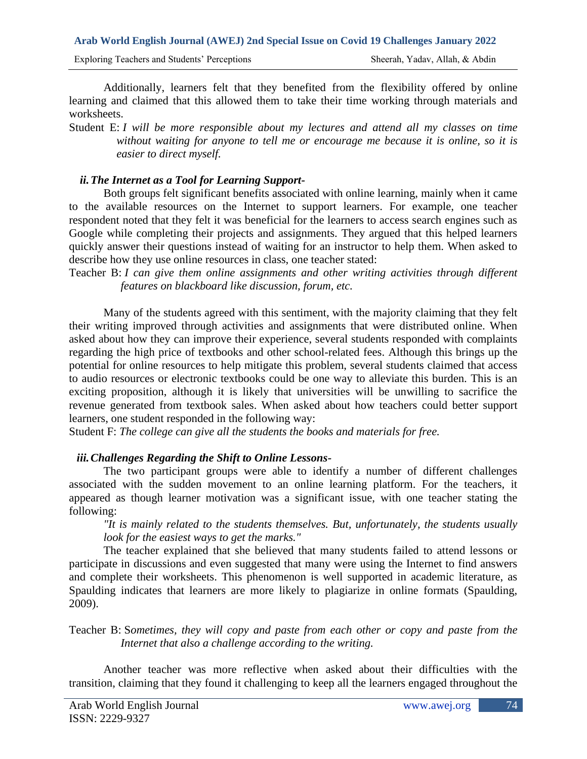Additionally, learners felt that they benefited from the flexibility offered by online learning and claimed that this allowed them to take their time working through materials and worksheets.

Student E: *I will be more responsible about my lectures and attend all my classes on time without waiting for anyone to tell me or encourage me because it is online, so it is easier to direct myself.*

# *ii.The Internet as a Tool for Learning Support-*

Both groups felt significant benefits associated with online learning, mainly when it came to the available resources on the Internet to support learners. For example, one teacher respondent noted that they felt it was beneficial for the learners to access search engines such as Google while completing their projects and assignments. They argued that this helped learners quickly answer their questions instead of waiting for an instructor to help them. When asked to describe how they use online resources in class, one teacher stated:

Teacher B: *I can give them online assignments and other writing activities through different features on blackboard like discussion, forum, etc.*

Many of the students agreed with this sentiment, with the majority claiming that they felt their writing improved through activities and assignments that were distributed online. When asked about how they can improve their experience, several students responded with complaints regarding the high price of textbooks and other school-related fees. Although this brings up the potential for online resources to help mitigate this problem, several students claimed that access to audio resources or electronic textbooks could be one way to alleviate this burden. This is an exciting proposition, although it is likely that universities will be unwilling to sacrifice the revenue generated from textbook sales. When asked about how teachers could better support learners, one student responded in the following way:

Student F: *The college can give all the students the books and materials for free.*

# *iii.Challenges Regarding the Shift to Online Lessons-*

The two participant groups were able to identify a number of different challenges associated with the sudden movement to an online learning platform. For the teachers, it appeared as though learner motivation was a significant issue, with one teacher stating the following:

*"It is mainly related to the students themselves. But, unfortunately, the students usually look for the easiest ways to get the marks."*

The teacher explained that she believed that many students failed to attend lessons or participate in discussions and even suggested that many were using the Internet to find answers and complete their worksheets. This phenomenon is well supported in academic literature, as Spaulding indicates that learners are more likely to plagiarize in online formats (Spaulding, 2009).

Teacher B: S*ometimes, they will copy and paste from each other or copy and paste from the Internet that also a challenge according to the writing.*

Another teacher was more reflective when asked about their difficulties with the transition, claiming that they found it challenging to keep all the learners engaged throughout the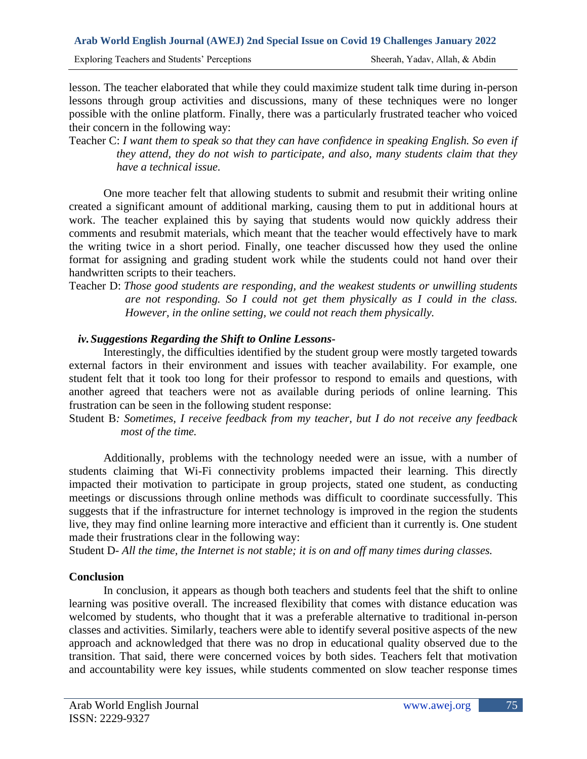lesson. The teacher elaborated that while they could maximize student talk time during in-person lessons through group activities and discussions, many of these techniques were no longer possible with the online platform. Finally, there was a particularly frustrated teacher who voiced their concern in the following way:

Teacher C: *I want them to speak so that they can have confidence in speaking English. So even if they attend, they do not wish to participate, and also, many students claim that they have a technical issue.*

One more teacher felt that allowing students to submit and resubmit their writing online created a significant amount of additional marking, causing them to put in additional hours at work. The teacher explained this by saying that students would now quickly address their comments and resubmit materials, which meant that the teacher would effectively have to mark the writing twice in a short period. Finally, one teacher discussed how they used the online format for assigning and grading student work while the students could not hand over their handwritten scripts to their teachers.

Teacher D: *Those good students are responding, and the weakest students or unwilling students are not responding. So I could not get them physically as I could in the class. However, in the online setting, we could not reach them physically.*

# *iv.Suggestions Regarding the Shift to Online Lessons-*

Interestingly, the difficulties identified by the student group were mostly targeted towards external factors in their environment and issues with teacher availability. For example, one student felt that it took too long for their professor to respond to emails and questions, with another agreed that teachers were not as available during periods of online learning. This frustration can be seen in the following student response:

Student B*: Sometimes, I receive feedback from my teacher, but I do not receive any feedback most of the time.*

Additionally, problems with the technology needed were an issue, with a number of students claiming that Wi-Fi connectivity problems impacted their learning. This directly impacted their motivation to participate in group projects, stated one student, as conducting meetings or discussions through online methods was difficult to coordinate successfully. This suggests that if the infrastructure for internet technology is improved in the region the students live, they may find online learning more interactive and efficient than it currently is. One student made their frustrations clear in the following way:

Student D- *All the time, the Internet is not stable; it is on and off many times during classes.*

# **Conclusion**

In conclusion, it appears as though both teachers and students feel that the shift to online learning was positive overall. The increased flexibility that comes with distance education was welcomed by students, who thought that it was a preferable alternative to traditional in-person classes and activities. Similarly, teachers were able to identify several positive aspects of the new approach and acknowledged that there was no drop in educational quality observed due to the transition. That said, there were concerned voices by both sides. Teachers felt that motivation and accountability were key issues, while students commented on slow teacher response times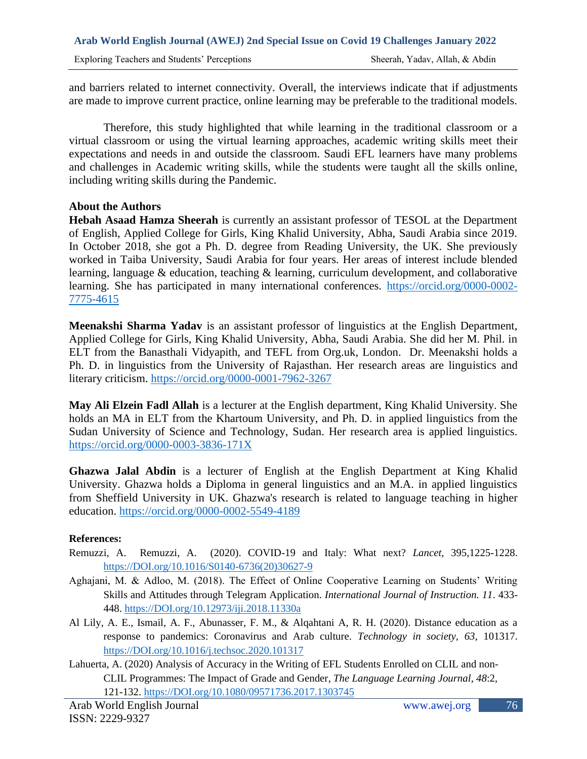and barriers related to internet connectivity. Overall, the interviews indicate that if adjustments are made to improve current practice, online learning may be preferable to the traditional models.

Therefore, this study highlighted that while learning in the traditional classroom or a virtual classroom or using the virtual learning approaches, academic writing skills meet their expectations and needs in and outside the classroom. Saudi EFL learners have many problems and challenges in Academic writing skills, while the students were taught all the skills online, including writing skills during the Pandemic.

## **About the Authors**

**Hebah Asaad Hamza Sheerah** is currently an assistant professor of TESOL at the Department of English, Applied College for Girls, King Khalid University, Abha, Saudi Arabia since 2019. In October 2018, she got a Ph. D. degree from Reading University, the UK. She previously worked in Taiba University, Saudi Arabia for four years. Her areas of interest include blended learning, language & education, teaching & learning, curriculum development, and collaborative learning. She has participated in many international conferences. [https://orcid.org/0000-0002-](https://orcid.org/0000-0002-7775-4615) [7775-4615](https://orcid.org/0000-0002-7775-4615)

**Meenakshi Sharma Yadav** is an assistant professor of linguistics at the English Department, Applied College for Girls, King Khalid University, Abha, Saudi Arabia. She did her M. Phil. in ELT from the Banasthali Vidyapith, and TEFL from Org.uk, London. Dr. Meenakshi holds a Ph. D. in linguistics from the University of Rajasthan. Her research areas are linguistics and literary criticism.<https://orcid.org/0000-0001-7962-3267>

**May Ali Elzein Fadl Allah** is a lecturer at the English department, King Khalid University. She holds an MA in ELT from the Khartoum University, and Ph. D. in applied linguistics from the Sudan University of Science and Technology, Sudan. Her research area is applied linguistics. [https://orcid.org/0000-0003-3836-171X](https://orcid.org/0000-0003836-171X)

**Ghazwa Jalal Abdin** is a lecturer of English at the English Department at King Khalid University. Ghazwa holds a Diploma in general linguistics and an M.A. in applied linguistics from Sheffield University in UK. Ghazwa's research is related to language teaching in higher education.<https://orcid.org/0000-0002-5549-4189>

### **References:**

- Remuzzi, A. Remuzzi, A. (2020). COVID-19 and Italy: What next? *Lancet*, 395,1225-1228. [https://DOI.org/10.1016/S0140-6736\(20\)30627-9](https://doi.org/10.1016/S0140-6736(20)30627-9)
- Aghajani, M. & Adloo, M. (2018). The Effect of Online Cooperative Learning on Students' Writing Skills and Attitudes through Telegram Application. *International Journal of Instruction. 11*. 433- 448. [https://DOI.org/10.12973/iji.2018.11330a](https://doi.org/10.12973/iji.2018.11330a)
- Al Lily, A. E., Ismail, A. F., Abunasser, F. M., & Alqahtani A, R. H. (2020). Distance education as a response to pandemics: Coronavirus and Arab culture. *Technology in society, 63*, 101317. [https://DOI.org/10.1016/j.techsoc.2020.101317](https://doi.org/10.1016/j.techsoc.2020.101317)
- Lahuerta, A. (2020) Analysis of Accuracy in the Writing of EFL Students Enrolled on CLIL and non-CLIL Programmes: The Impact of Grade and Gender, *The Language Learning Journal, 48*:2, 121-132. [https://DOI.org/10.1080/09571736.2017.1303745](https://doi.org/10.1080/09571736.2017.1303745)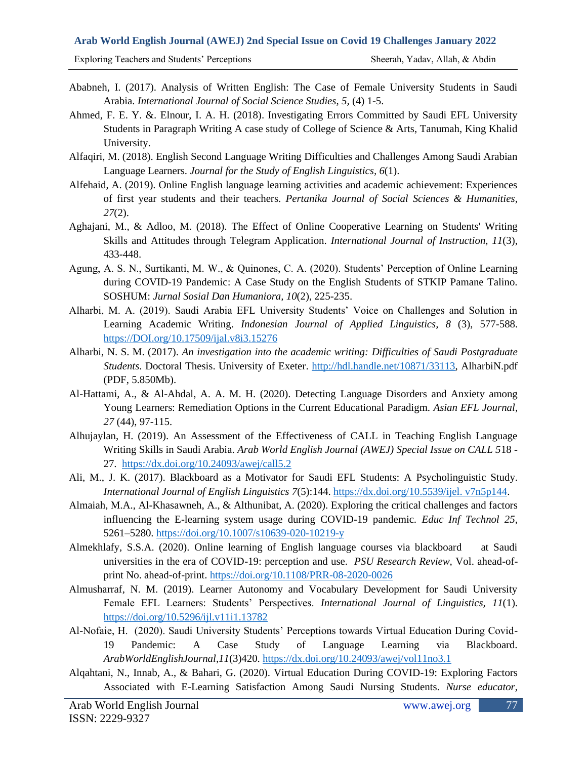Exploring Teachers and Students' Perceptions Sheerah, Yadav, Allah, & Abdin

- Ababneh, I. (2017). Analysis of Written English: The Case of Female University Students in Saudi Arabia. *International Journal of Social Science Studies*, *5,* (4) 1-5.
- Ahmed, F. E. Y. &. Elnour, I. A. H. (2018). Investigating Errors Committed by Saudi EFL University Students in Paragraph Writing A case study of College of Science & Arts, Tanumah, King Khalid University.
- Alfaqiri, M. (2018). English Second Language Writing Difficulties and Challenges Among Saudi Arabian Language Learners. *Journal for the Study of English Linguistics, 6*(1).
- Alfehaid, A. (2019). Online English language learning activities and academic achievement: Experiences of first year students and their teachers. *Pertanika Journal of Social Sciences & Humanities, 27*(2).
- Aghajani, M., & Adloo, M. (2018). The Effect of Online Cooperative Learning on Students' Writing Skills and Attitudes through Telegram Application. *International Journal of Instruction, 11*(3), 433-448.
- Agung, A. S. N., Surtikanti, M. W., & Quinones, C. A. (2020). Students' Perception of Online Learning during COVID-19 Pandemic: A Case Study on the English Students of STKIP Pamane Talino. SOSHUM: *Jurnal Sosial Dan Humaniora, 10*(2), 225-235.
- Alharbi, M. A. (2019). Saudi Arabia EFL University Students' Voice on Challenges and Solution in Learning Academic Writing. *Indonesian Journal of Applied Linguistics, 8* (3), 577-588. [https://DOI.org/10.17509/ijal.v8i3.15276](https://doi.org/10.17509/ijal.v8i3.15276)
- Alharbi, N. S. M. (2017). *An investigation into the academic writing: Difficulties of Saudi Postgraduate Students*. Doctoral Thesis. University of Exeter. [http://hdl.handle.net/10871/33113,](http://hdl.handle.net/10871/33113) AlharbiN.pdf (PDF, 5.850Mb).
- Al-Hattami, A., & Al-Ahdal, A. A. M. H. (2020). Detecting Language Disorders and Anxiety among Young Learners: Remediation Options in the Current Educational Paradigm. *Asian EFL Journal, 27* (44), 97-115.
- Alhujaylan, H. (2019). An Assessment of the Effectiveness of CALL in Teaching English Language Writing Skills in Saudi Arabia. *Arab World English Journal (AWEJ) Special Issue on CALL 5*18 - 27. <https://dx.doi.org/10.24093/awej/call5.2>
- Ali, M., J. K. (2017). Blackboard as a Motivator for Saudi EFL Students: A Psycholinguistic Study. *International Journal of English Linguistics 7*(5):144. [https://dx.doi.org/10.5539/ijel. v7n5p144.](https://dx.doi.org/10.5539/ijel.%20v7n5p144)
- Almaiah, M.A., Al-Khasawneh, A., & Althunibat, A. (2020). Exploring the critical challenges and factors influencing the E-learning system usage during COVID-19 pandemic*. Educ Inf Technol 25*, 5261–5280.<https://doi.org/10.1007/s10639-020-10219-y>
- Almekhlafy, S.S.A. (2020). Online learning of English language courses via blackboard at Saudi universities in the era of COVID-19: perception and use. *PSU Research Review,* Vol. ahead-ofprint No. ahead-of-print.<https://doi.org/10.1108/PRR-08-2020-0026>
- Almusharraf, N. M. (2019). Learner Autonomy and Vocabulary Development for Saudi University Female EFL Learners: Students' Perspectives. *International Journal of Linguistics, 11*(1). <https://doi.org/10.5296/ijl.v11i1.13782>
- Al-Nofaie, H. (2020). Saudi University Students' Perceptions towards Virtual Education During Covid-19 Pandemic: A Case Study of Language Learning via Blackboard. *ArabWorldEnglishJournal*,*11*(3)420.<https://dx.doi.org/10.24093/awej/vol11no3.1>
- Alqahtani, N., Innab, A., & Bahari, G. (2020). Virtual Education During COVID-19: Exploring Factors Associated with E-Learning Satisfaction Among Saudi Nursing Students. *Nurse educator*,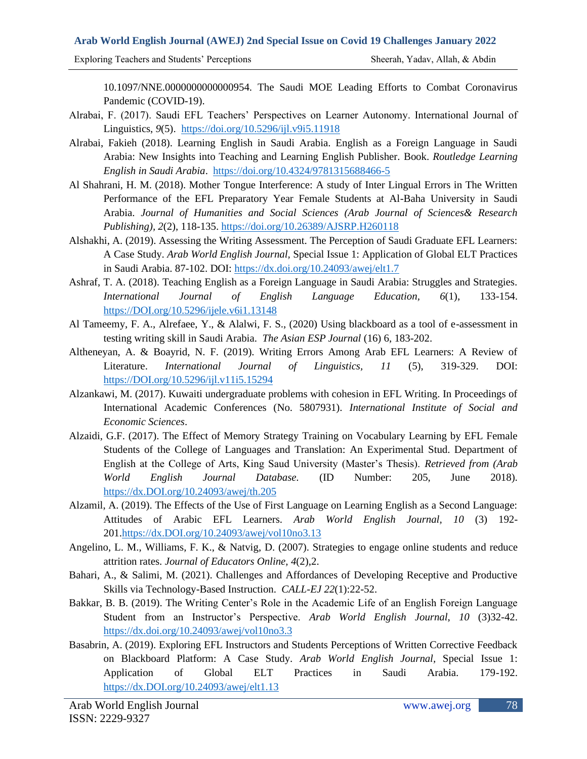Exploring Teachers and Students' Perceptions Sheerah, Yadav, Allah, & Abdin

10.1097/NNE.0000000000000954. The Saudi MOE Leading Efforts to Combat Coronavirus Pandemic (COVID-19).

- Alrabai, F. (2017). Saudi EFL Teachers' Perspectives on Learner Autonomy. International Journal of Linguistics, *9*(5). <https://doi.org/10.5296/ijl.v9i5.11918>
- Alrabai, Fakieh (2018). Learning English in Saudi Arabia. English as a Foreign Language in Saudi Arabia: New Insights into Teaching and Learning English Publisher. Book. *Routledge Learning English in Saudi Arabia*. <https://doi.org/10.4324/9781315688466-5>
- Al Shahrani, H. M. (2018). Mother Tongue Interference: A study of Inter Lingual Errors in The Written Performance of the EFL Preparatory Year Female Students at Al-Baha University in Saudi Arabia. *Journal of Humanities and Social Sciences (Arab Journal of Sciences& Research Publishing), 2*(2), 118-135. [https://doi.org/10.26389/AJSRP.H260118](https://journals.ajsrp.com/index.php/jhss/article/view?path=)
- Alshakhi, A. (2019). Assessing the Writing Assessment. The Perception of Saudi Graduate EFL Learners: A Case Study. *Arab World English Journal,* Special Issue 1: Application of Global ELT Practices in Saudi Arabia. 87-102. DOI:<https://dx.doi.org/10.24093/awej/elt1.7>
- Ashraf, T. A. (2018). Teaching English as a Foreign Language in Saudi Arabia: Struggles and Strategies. *International Journal of English Language Education, 6*(1), 133-154. [https://DOI.org/10.5296/ijele.v6i1.13148](https://doi.org/10.5296/ijele.v6i1.13148)
- Al Tameemy, F. A., Alrefaee, Y., & Alalwi, F. S., (2020) Using blackboard as a tool of e-assessment in testing writing skill in Saudi Arabia. *The Asian ESP Journal* (16) 6, 183-202.
- Altheneyan, A. & Boayrid, N. F. (2019). Writing Errors Among Arab EFL Learners: A Review of Literature. *International Journal of Linguistics, 11* (5), 319-329. DOI: [https://DOI.org/10.5296/ijl.v11i5.15294](https://doi.org/10.5296/ijl.v11i5.15294)
- Alzankawi, M. (2017). Kuwaiti undergraduate problems with cohesion in EFL Writing. In Proceedings of International Academic Conferences (No. 5807931). *International Institute of Social and Economic Sciences*.
- Alzaidi, G.F. (2017). The Effect of Memory Strategy Training on Vocabulary Learning by EFL Female Students of the College of Languages and Translation: An Experimental Stud. Department of English at the College of Arts, King Saud University (Master's Thesis). *Retrieved from (Arab World English Journal Database.* (ID Number: 205, June 2018). [https://dx.DOI.org/10.24093/awej/th.205](https://dx.doi.org/10.24093/awej/th.205)
- Alzamil, A. (2019). The Effects of the Use of First Language on Learning English as a Second Language: Attitudes of Arabic EFL Learners. *Arab World English Journal, 10* (3) 192- 201[.https://dx.DOI.org/10.24093/awej/vol10no3.13](https://dx.doi.org/10.24093/awej/vol10no3.13)
- Angelino, L. M., Williams, F. K., & Natvig, D. (2007). Strategies to engage online students and reduce attrition rates. *Journal of Educators Online, 4*(2),2.
- Bahari, A., & Salimi, M. (2021). Challenges and Affordances of Developing Receptive and Productive Skills via Technology-Based Instruction. *CALL-EJ 22*(1):22-52.
- Bakkar, B. B. (2019). The Writing Center's Role in the Academic Life of an English Foreign Language Student from an Instructor's Perspective. *Arab World English Journal*, *10* (3)32-42. <https://dx.doi.org/10.24093/awej/vol10no3.3>
- Basabrin, A. (2019). Exploring EFL Instructors and Students Perceptions of Written Corrective Feedback on Blackboard Platform: A Case Study. *Arab World English Journal,* Special Issue 1: Application of Global ELT Practices in Saudi Arabia. 179-192. [https://dx.DOI.org/10.24093/awej/elt1.13](https://dx.doi.org/10.24093/awej/elt1.13)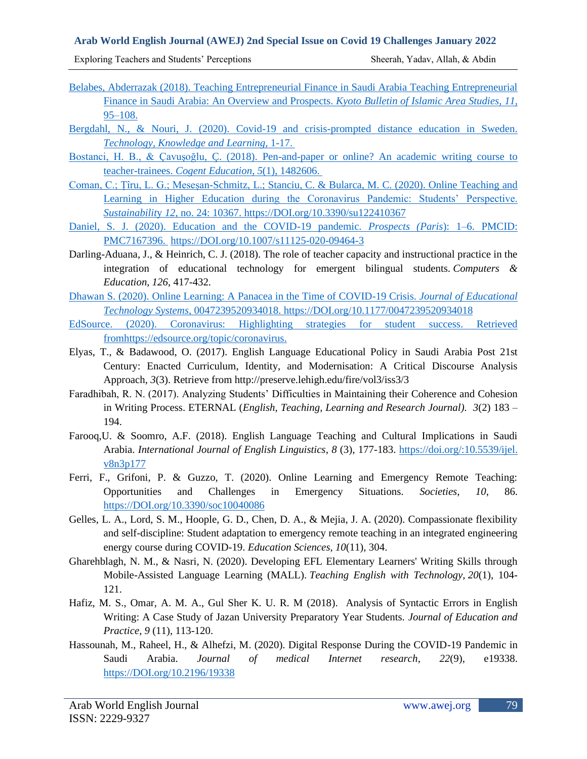Exploring Teachers and Students' Perceptions Sheerah, Yadav, Allah, & Abdin

- Belabes, Abderrazak (2018). Teaching Entrepreneurial Finance in Saudi Arabia Teaching Entrepreneurial Finance in Saudi Arabia: An Overview and Prospects. *Kyoto Bulletin of Islamic Area Studies, 11*, 95–108.
- Bergdahl, N., & Nouri, J. (2020). Covid-19 and crisis-prompted distance education in Sweden. *Technology, Knowledge and Learning,* 1-17.
- Bostanci, H. B., & Çavuşoğlu, Ç. (2018). Pen-and-paper or online? An academic writing course to teacher-trainees. *Cogent Education*, *5*(1), 1482606.
- Coman, C.; Țîru, L. G.; Meseșan-Schmitz, L.; Stanciu, C. & Bularca, M. C. (2020). Online Teaching and Learning in Higher Education during the Coronavirus Pandemic: Students' Perspective. *Sustainabilit*y *12*, no. 24: 10367[. https://DOI.org/10.3390/su122410367](https://doi.org/10.3390/su122410367)
- Daniel, S. J. (2020). Education and the COVID-19 pandemic. *Prospects (Paris*): 1–6. PMCID: PMC7167396. [https://DOI.org/10.1007/s11125-020-09464-3](https://doi.org/10.1007/s11125-020-09464-3)
- Darling-Aduana, J., & Heinrich, C. J. (2018). The role of teacher capacity and instructional practice in the integration of educational technology for emergent bilingual students. *Computers & Education*, *126*, 417-432.
- Dhawan S. (2020). Online Learning: A Panacea in the Time of COVID-19 Crisis. *Journal of Educational Technology Systems,* 0047239520934018. [https://DOI.org/10.1177/0047239520934018](https://doi.org/10.1177/0047239520934018)
- EdSource. (2020). Coronavirus: Highlighting strategies for student success. Retrieved fromhttps://edsource.org/topic/coronavirus.
- Elyas, T., & Badawood, O. (2017). English Language Educational Policy in Saudi Arabia Post 21st Century: Enacted Curriculum, Identity, and Modernisation: A Critical Discourse Analysis Approach, *3*(3). Retrieve from http://preserve.lehigh.edu/fire/vol3/iss3/3
- Faradhibah, R. N. (2017). Analyzing Students' Difficulties in Maintaining their Coherence and Cohesion in Writing Process. ETERNAL (*English, Teaching, Learning and Research Journal). 3*(2) 183 – 194.
- Farooq,U. & Soomro, A.F. (2018). English Language Teaching and Cultural Implications in Saudi Arabia. *International Journal of English Linguistics*, *8* (3), 177-183. [https://doi.org/:10.5539/ijel.](https://doi.org/:10.5539/ijel.%20v8n3p177)  [v8n3p177](https://doi.org/:10.5539/ijel.%20v8n3p177)
- Ferri, F., Grifoni, P. & Guzzo, T. (2020). Online Learning and Emergency Remote Teaching: Opportunities and Challenges in Emergency Situations. *Societies*, *10*, 86. [https://DOI.org/10.3390/soc10040086](https://doi.org/10.3390/soc10040086)
- Gelles, L. A., Lord, S. M., Hoople, G. D., Chen, D. A., & Mejia, J. A. (2020). Compassionate flexibility and self-discipline: Student adaptation to emergency remote teaching in an integrated engineering energy course during COVID-19. *Education Sciences, 10*(11), 304.
- Gharehblagh, N. M., & Nasri, N. (2020). Developing EFL Elementary Learners' Writing Skills through Mobile-Assisted Language Learning (MALL). *Teaching English with Technology, 20*(1), 104- 121.
- Hafiz, M. S., Omar, A. M. A., Gul Sher K. U. R. M (2018). Analysis of Syntactic Errors in English Writing: A Case Study of Jazan University Preparatory Year Students. *Journal of Education and Practice*, *9* (11), 113-120.
- Hassounah, M., Raheel, H., & Alhefzi, M. (2020). Digital Response During the COVID-19 Pandemic in Saudi Arabia. *Journal of medical Internet research*, *22*(9), e19338. [https://DOI.org/10.2196/19338](https://doi.org/10.2196/19338)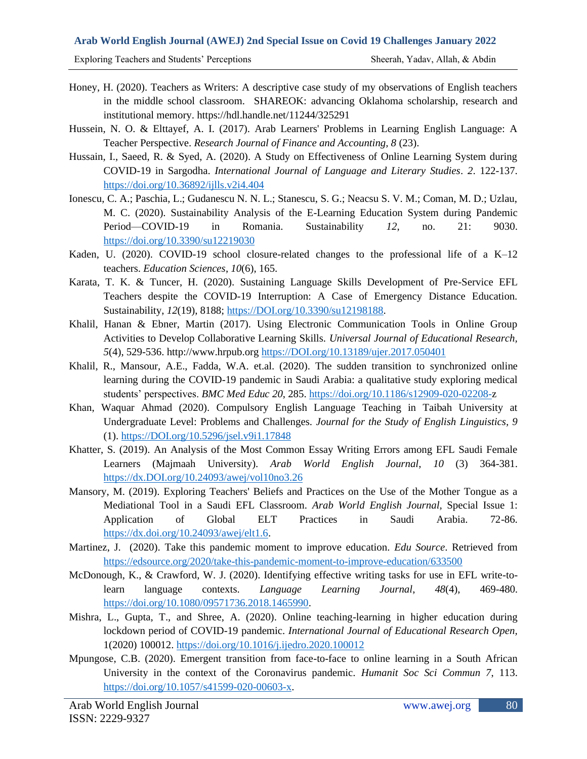Exploring Teachers and Students' Perceptions Sheerah, Yadav, Allah, & Abdin

- Honey, H. (2020). Teachers as Writers: A descriptive case study of my observations of English teachers in the middle school classroom. SHAREOK: advancing Oklahoma scholarship, research and institutional memory. https://hdl.handle.net/11244/325291
- Hussein, N. O. & Elttayef, A. I. (2017). Arab Learners' Problems in Learning English Language: A Teacher Perspective. *Research Journal of Finance and Accounting, 8* (23).
- Hussain, I., Saeed, R. & Syed, A. (2020). A Study on Effectiveness of Online Learning System during COVID-19 in Sargodha. *International Journal of Language and Literary Studies*. *2*. 122-137. <https://doi.org/10.36892/ijlls.v2i4.404>
- Ionescu, C. A.; Paschia, L.; Gudanescu N. N. L.; Stanescu, S. G.; Neacsu S. V. M.; Coman, M. D.; Uzlau, M. C. (2020). Sustainability Analysis of the E-Learning Education System during Pandemic Period—COVID-19 in Romania. Sustainability *12*, no. 21: 9030. <https://doi.org/10.3390/su12219030>
- Kaden, U. (2020). COVID-19 school closure-related changes to the professional life of a K–12 teachers. *Education Sciences*, *10*(6), 165.
- Karata, T. K. & Tuncer, H. (2020). Sustaining Language Skills Development of Pre-Service EFL Teachers despite the COVID-19 Interruption: A Case of Emergency Distance Education. Sustainability, *12*(19), 8188; [https://DOI.org/10.3390/su12198188.](https://doi.org/10.3390/su12198188)
- Khalil, Hanan & Ebner, Martin (2017). Using Electronic Communication Tools in Online Group Activities to Develop Collaborative Learning Skills. *Universal Journal of Educational Research, 5*(4), 529-536. http://www.hrpub.or[g https://DOI.org/10.13189/ujer.2017.050401](https://doi.org/10.13189/ujer.2017.050401)
- Khalil, R., Mansour, A.E., Fadda, W.A. et.al. (2020). The sudden transition to synchronized online learning during the COVID-19 pandemic in Saudi Arabia: a qualitative study exploring medical students' perspectives. *BMC Med Educ 20*, 285. [https://doi.org/10.1186/s12909-020-02208-z](https://doi.org/10.1186/s12909-020-02208-)
- Khan, Waquar Ahmad (2020). Compulsory English Language Teaching in Taibah University at Undergraduate Level: Problems and Challenges. *Journal for the Study of English Linguistics, 9* (1). [https://DOI.org/10.5296/jsel.v9i1.17848](https://doi.org/10.5296/jsel.v9i1.17848)
- Khatter, S. (2019). An Analysis of the Most Common Essay Writing Errors among EFL Saudi Female Learners (Majmaah University). *Arab World English Journal*, *10* (3) 364-381. [https://dx.DOI.org/10.24093/awej/vol10no3.26](https://dx.doi.org/10.24093/awej/vol10no3.26)
- Mansory, M. (2019). Exploring Teachers' Beliefs and Practices on the Use of the Mother Tongue as a Mediational Tool in a Saudi EFL Classroom*. Arab World English Journal,* Special Issue 1: Application of Global ELT Practices in Saudi Arabia. 72-86. [https://dx.doi.org/10.24093/awej/elt1.6.](https://dx.doi.org/10.24093/awej/elt1.6)
- Martinez, J. (2020). Take this pandemic moment to improve education. *Edu Source*. Retrieved from <https://edsource.org/2020/take-this-pandemic-moment-to-improve-education/633500>
- McDonough, K., & Crawford, W. J. (2020). Identifying effective writing tasks for use in EFL write-tolearn language contexts. *Language Learning Journal*, *48*(4), 469-480. [https://doi.org/10.1080/09571736.2018.1465990.](https://doi.org/10.1080/09571736.2018.1465990)
- Mishra, L., Gupta, T., and Shree, A. (2020). Online teaching-learning in higher education during lockdown period of COVID-19 pandemic. *International Journal of Educational Research Open,* 1(2020) 100012.<https://doi.org/10.1016/j.ijedro.2020.100012>
- Mpungose, C.B. (2020). Emergent transition from face-to-face to online learning in a South African University in the context of the Coronavirus pandemic. *Humanit Soc Sci Commun 7*, 113. [https://doi.org/10.1057/s41599-020-00603-x.](https://doi.org/10.1057/s41599-020-00603-x)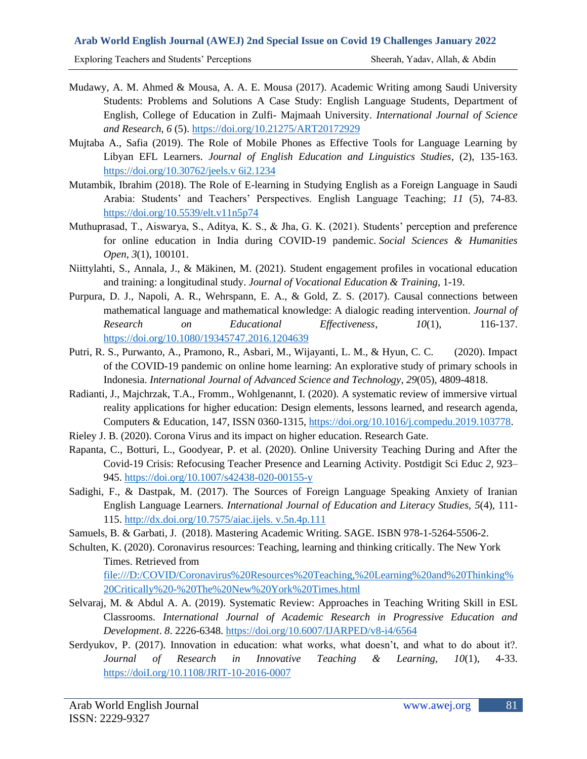Exploring Teachers and Students' Perceptions Sheerah, Yadav, Allah, & Abdin

- Mudawy, A. M. Ahmed & Mousa, A. A. E. Mousa (2017). Academic Writing among Saudi University Students: Problems and Solutions A Case Study: English Language Students, Department of English, College of Education in Zulfi- Majmaah University. *International Journal of Science and Research*, *6* (5).<https://doi.org/10.21275/ART20172929>
- Mujtaba A., Safia (2019). The Role of Mobile Phones as Effective Tools for Language Learning by Libyan EFL Learners. *Journal of English Education and Linguistics Studies*, (2), 135-163. [https://doi.org/10.30762/jeels.v 6i2.1234](https://doi.org/10.30762/jeels.v%206i2.1234)
- Mutambik, Ibrahim (2018). The Role of E-learning in Studying English as a Foreign Language in Saudi Arabia: Students' and Teachers' Perspectives. English Language Teaching; *11* (5), 74-83. <https://doi.org/10.5539/elt.v11n5p74>
- Muthuprasad, T., Aiswarya, S., Aditya, K. S., & Jha, G. K. (2021). Students' perception and preference for online education in India during COVID-19 pandemic. *Social Sciences & Humanities Open*, *3*(1), 100101.
- Niittylahti, S., Annala, J., & Mäkinen, M. (2021). Student engagement profiles in vocational education and training: a longitudinal study. *Journal of Vocational Education & Training*, 1-19.
- Purpura, D. J., Napoli, A. R., Wehrspann, E. A., & Gold, Z. S. (2017). Causal connections between mathematical language and mathematical knowledge: A dialogic reading intervention. *Journal of Research on Educational Effectiveness*, *10*(1), 116-137. <https://doi.org/10.1080/19345747.2016.1204639>
- Putri, R. S., Purwanto, A., Pramono, R., Asbari, M., Wijayanti, L. M., & Hyun, C. C. (2020). Impact of the COVID-19 pandemic on online home learning: An explorative study of primary schools in Indonesia. *International Journal of Advanced Science and Technology*, *29*(05), 4809-4818.
- Radianti, J., Majchrzak, T.A., Fromm., Wohlgenannt, I. (2020). A systematic review of immersive virtual reality applications for higher education: Design elements, lessons learned, and research agenda, Computers & Education, 147, ISSN 0360-1315, [https://doi.org/10.1016/j.compedu.2019.103778.](https://doi.org/10.1016/j.compedu.2019.103778)
- Rieley J. B. (2020). Corona Virus and its impact on higher education. Research Gate.
- Rapanta, C., Botturi, L., Goodyear, P. et al. (2020). Online University Teaching During and After the Covid-19 Crisis: Refocusing Teacher Presence and Learning Activity. Postdigit Sci Educ *2*, 923– 945.<https://doi.org/10.1007/s42438-020-00155-y>
- Sadighi, F., & Dastpak, M. (2017). The Sources of Foreign Language Speaking Anxiety of Iranian English Language Learners. *International Journal of Education and Literacy Studies, 5*(4), 111- 115. [http://dx.doi.org/10.7575/aiac.ijels. v.5n.4p.111](http://dx.doi.org/10.7575/aiac.ijels.%20v.5n.4p.111)
- Samuels, B. & Garbati, J. (2018). Mastering Academic Writing. SAGE. ISBN 978-1-5264-5506-2.
- Schulten, K. (2020). Coronavirus resources: Teaching, learning and thinking critically. The New York Times. Retrieved from

[file:///D:/COVID/Coronavirus%20Resources%20Teaching,%20Learning%20and%20Thinking%](file:///D:/COVID/Coronavirus%20Resources%20Teaching,%20Learning%20and%20Thinking%20Critically%20-%20The%20New%20York%20Times.html) [20Critically%20-%20The%20New%20York%20Times.html](file:///D:/COVID/Coronavirus%20Resources%20Teaching,%20Learning%20and%20Thinking%20Critically%20-%20The%20New%20York%20Times.html)

- Selvaraj, M. & Abdul A. A. (2019). Systematic Review: Approaches in Teaching Writing Skill in ESL Classrooms. *International Journal of Academic Research in Progressive Education and Development*. *8*. 2226-6348.<https://doi.org/10.6007/IJARPED/v8-i4/6564>
- Serdyukov, P. (2017). Innovation in education: what works, what doesn't, and what to do about it?. *Journal of Research in Innovative Teaching & Learning, 10*(1), 4-33. [https://doiI.org/10.1108/JRIT-10-2016-0007](https://doii.org/10.1108/JRIT-10-2016-0007)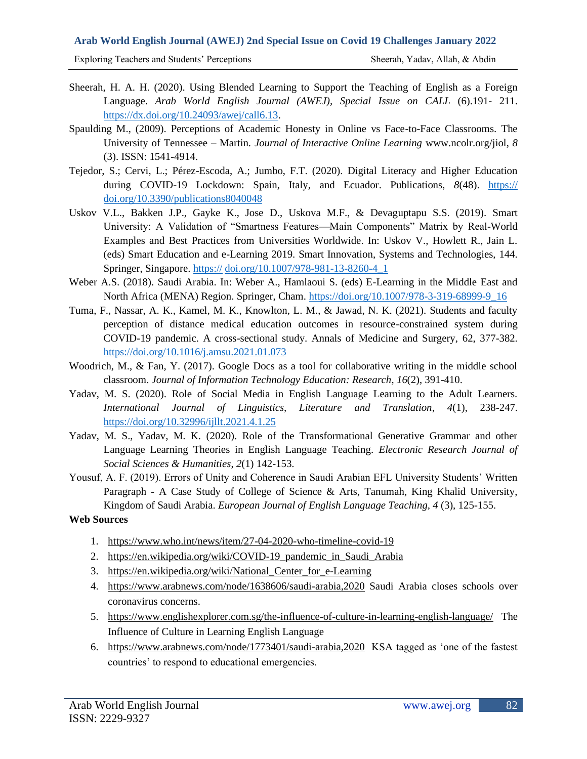Exploring Teachers and Students' Perceptions Sheerah, Yadav, Allah, & Abdin

- Sheerah, H. A. H. (2020). Using Blended Learning to Support the Teaching of English as a Foreign Language. *Arab World English Journal (AWEJ), Special Issue on CALL* (6).191- 211. [https://dx.doi.org/10.24093/awej/call6.13.](https://dx.doi.org/10.24093/awej/call6.13)
- Spaulding M., (2009). Perceptions of Academic Honesty in Online vs Face-to-Face Classrooms. The University of Tennessee – Martin. *Journal of Interactive Online Learning* www.ncolr.org/jiol, *8* (3). ISSN: 1541-4914.
- Tejedor, S.; Cervi, L.; Pérez-Escoda, A.; Jumbo, F.T. (2020). Digital Literacy and Higher Education during COVID-19 Lockdown: Spain, Italy, and Ecuador. Publications, *8*(48). https:// doi.org/10.3390/publications8040048
- Uskov V.L., Bakken J.P., Gayke K., Jose D., Uskova M.F., & Devaguptapu S.S. (2019). Smart University: A Validation of "Smartness Features—Main Components" Matrix by Real-World Examples and Best Practices from Universities Worldwide. In: Uskov V., Howlett R., Jain L. (eds) Smart Education and e-Learning 2019. Smart Innovation, Systems and Technologies, 144. Springer, Singapore. https:// [doi.org/10.1007/978-981-13-8260-4\\_1](https://doi.org/10.1007/978-981-13-8260-4_1)
- Weber A.S. (2018). Saudi Arabia. In: Weber A., Hamlaoui S. (eds) E-Learning in the Middle East and North Africa (MENA) Region. Springer, Cham. [https://doi.org/10.1007/978-3-319-68999-9\\_16](https://doi.org/10.1007/978-3-319-68999-9_16)
- Tuma, F., Nassar, A. K., Kamel, M. K., Knowlton, L. M., & Jawad, N. K. (2021). Students and faculty perception of distance medical education outcomes in resource-constrained system during COVID-19 pandemic. A cross-sectional study. Annals of Medicine and Surgery, 62, 377-382. <https://doi.org/10.1016/j.amsu.2021.01.073>
- Woodrich, M., & Fan, Y. (2017). Google Docs as a tool for collaborative writing in the middle school classroom. *Journal of Information Technology Education: Research*, *16*(2), 391-410.
- Yadav, M. S. (2020). Role of Social Media in English Language Learning to the Adult Learners. *International Journal of Linguistics, Literature and Translation*, *4*(1), 238-247. <https://doi.org/10.32996/ijllt.2021.4.1.25>
- Yadav, M. S., Yadav, M. K. (2020). Role of the Transformational Generative Grammar and other Language Learning Theories in English Language Teaching. *Electronic Research Journal of Social Sciences & Humanities*, *2*(1) 142-153.
- Yousuf, A. F. (2019). Errors of Unity and Coherence in Saudi Arabian EFL University Students' Written Paragraph - A Case Study of College of Science & Arts, Tanumah, King Khalid University, Kingdom of Saudi Arabia. *European Journal of English Language Teaching, 4* (3), 125-155.

### **Web Sources**

- 1. <https://www.who.int/news/item/27-04-2020-who-timeline-covid-19>
- 2. [https://en.wikipedia.org/wiki/COVID-19\\_pandemic\\_in\\_Saudi\\_Arabia](https://en.wikipedia.org/wiki/COVID-19_pandemic_in_Saudi_Arabia)
- 3. [https://en.wikipedia.org/wiki/National\\_Center\\_for\\_e-Learning](https://en.wikipedia.org/wiki/National_Center_for_e-Learning)
- 4. <https://www.arabnews.com/node/1638606/saudi-arabia,2020> Saudi Arabia closes schools over coronavirus concerns.
- 5. <https://www.englishexplorer.com.sg/the-influence-of-culture-in-learning-english-language/>The Influence of Culture in Learning English Language
- 6. <https://www.arabnews.com/node/1773401/saudi-arabia,2020>KSA tagged as 'one of the fastest countries' to respond to educational emergencies.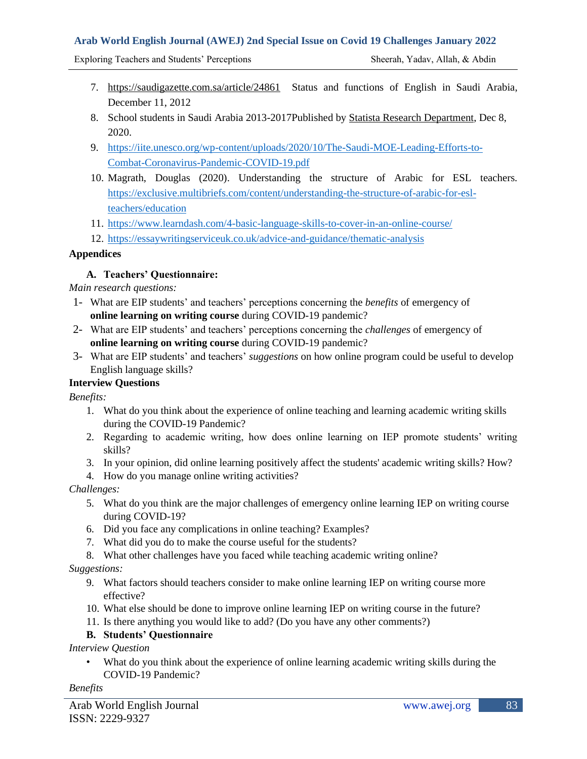Exploring Teachers and Students' Perceptions Sheerah, Yadav, Allah, & Abdin

- 7. <https://saudigazette.com.sa/article/24861>Status and functions of English in Saudi Arabia, December 11, 2012
- 8. School students in Saudi Arabia 2013-2017Published by Statista Research [Department,](https://www.statista.com/aboutus/our-research-commitment) Dec 8, 2020.
- 9. [https://iite.unesco.org/wp-content/uploads/2020/10/The-Saudi-MOE-Leading-Efforts-to-](https://iite.unesco.org/wp-content/uploads/2020/10/The-Saudi-MOE-Leading-Efforts-to-Combat-Coronavirus-Pandemic-COVID-19.pdf)[Combat-Coronavirus-Pandemic-COVID-19.pdf](https://iite.unesco.org/wp-content/uploads/2020/10/The-Saudi-MOE-Leading-Efforts-to-Combat-Coronavirus-Pandemic-COVID-19.pdf)
- 10. Magrath, Douglas (2020). Understanding the structure of Arabic for ESL teachers. [https://exclusive.multibriefs.com/content/understanding-the-structure-of-arabic-for-esl](https://exclusive.multibriefs.com/content/understanding-the-structure-of-arabic-for-esl-teachers/education)[teachers/education](https://exclusive.multibriefs.com/content/understanding-the-structure-of-arabic-for-esl-teachers/education)
- 11. <https://www.learndash.com/4-basic-language-skills-to-cover-in-an-online-course/>
- 12. https://essaywritingserviceuk.co.uk/advice-and-guidance/thematic-analysis

## **Appendices**

## **A. Teachers' Questionnaire:**

*Main research questions:*

- 1- What are EIP students' and teachers' perceptions concerning the *benefits* of emergency of **online learning on writing course** during COVID-19 pandemic?
- 2- What are EIP students' and teachers' perceptions concerning the *challenges* of emergency of **online learning on writing course** during COVID-19 pandemic?
- 3- What are EIP students' and teachers' *suggestions* on how online program could be useful to develop English language skills?

## **Interview Questions**

*Benefits:* 

- 1. What do you think about the experience of online teaching and learning academic writing skills during the COVID-19 Pandemic?
- 2. Regarding to academic writing, how does online learning on IEP promote students' writing skills?
- 3. In your opinion, did online learning positively affect the students' academic writing skills? How?
- 4. How do you manage online writing activities?

### *Challenges:*

- 5. What do you think are the major challenges of emergency online learning IEP on writing course during COVID-19?
- 6. Did you face any complications in online teaching? Examples?
- 7. What did you do to make the course useful for the students?
- 8. What other challenges have you faced while teaching academic writing online?

*Suggestions:* 

- 9. What factors should teachers consider to make online learning IEP on writing course more effective?
- 10. What else should be done to improve online learning IEP on writing course in the future?
- 11. Is there anything you would like to add? (Do you have any other comments?)

# **B. Students' Questionnaire**

*Interview Question*

What do you think about the experience of online learning academic writing skills during the COVID-19 Pandemic?

### *Benefits*